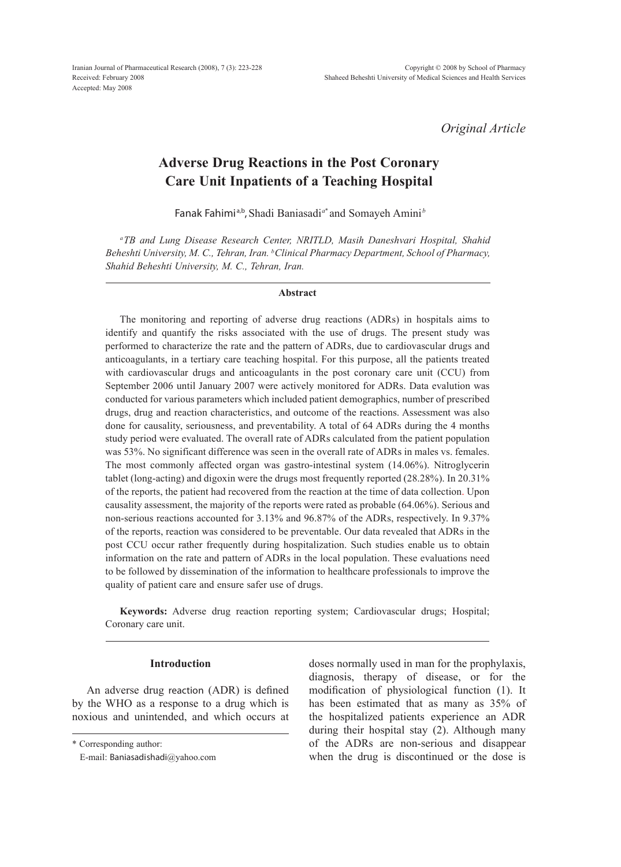*Original Article*

# **Adverse Drug Reactions in the Post Coronary Care Unit Inpatients of a Teaching Hospital**

Fanak Fahimi a,b,Shadi Baniasadi*<sup>a</sup>*\* and Somayeh Amini *<sup>b</sup>*

*aTB and Lung Disease Research Center, NRITLD, Masih Daneshvari Hospital, Shahid Beheshti University, M. C., Tehran, Iran. bClinical Pharmacy Department, School of Pharmacy, Shahid Beheshti University, M. C., Tehran, Iran.*

### **Abstract**

The monitoring and reporting of adverse drug reactions (ADRs) in hospitals aims to identify and quantify the risks associated with the use of drugs. The present study was performed to characterize the rate and the pattern of ADRs, due to cardiovascular drugs and anticoagulants, in a tertiary care teaching hospital. For this purpose, all the patients treated with cardiovascular drugs and anticoagulants in the post coronary care unit (CCU) from September 2006 until January 2007 were actively monitored for ADRs. Data evalution was conducted for various parameters which included patient demographics, number of prescribed drugs, drug and reaction characteristics, and outcome of the reactions. Assessment was also done for causality, seriousness, and preventability. A total of 64 ADRs during the 4 months study period were evaluated. The overall rate of ADRs calculated from the patient population was 53%. No significant difference was seen in the overall rate of ADRs in males vs. females. The most commonly affected organ was gastro-intestinal system (14.06%). Nitroglycerin tablet (long-acting) and digoxin were the drugs most frequently reported (28.28%). In 20.31% of the reports, the patient had recovered from the reaction at the time of data collection. Upon causality assessment, the majority of the reports were rated as probable (64.06%). Serious and non-serious reactions accounted for 3.13% and 96.87% of the ADRs, respectively. In 9.37% of the reports, reaction was considered to be preventable. Our data revealed that ADRs in the post CCU occur rather frequently during hospitalization. Such studies enable us to obtain information on the rate and pattern of ADRs in the local population. These evaluations need to be followed by dissemination of the information to healthcare professionals to improve the quality of patient care and ensure safer use of drugs.

**Keywords:** Adverse drug reaction reporting system; Cardiovascular drugs; Hospital; Coronary care unit.

### **Introduction**

An adverse drug reaction (ADR) is defined by the WHO as a response to a drug which is noxious and unintended, and which occurs at doses normally used in man for the prophylaxis, diagnosis, therapy of disease, or for the modification of physiological function (1). It has been estimated that as many as 35% of the hospitalized patients experience an ADR during their hospital stay (2). Although many of the ADRs are non-serious and disappear when the drug is discontinued or the dose is

<sup>\*</sup> Corresponding author:

E-mail: Baniasadishadi@yahoo.com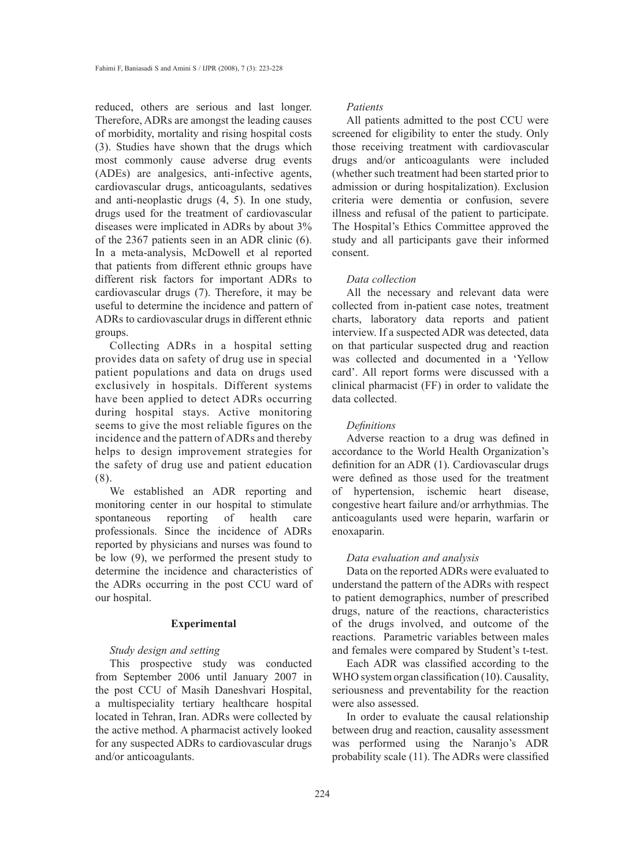reduced, others are serious and last longer. Therefore, ADRs are amongst the leading causes of morbidity, mortality and rising hospital costs (3). Studies have shown that the drugs which most commonly cause adverse drug events (ADEs) are analgesics, anti-infective agents, cardiovascular drugs, anticoagulants, sedatives and anti-neoplastic drugs (4, 5). In one study, drugs used for the treatment of cardiovascular diseases were implicated in ADRs by about 3% of the 2367 patients seen in an ADR clinic (6). In a meta-analysis, McDowell et al reported that patients from different ethnic groups have different risk factors for important ADRs to cardiovascular drugs (7). Therefore, it may be useful to determine the incidence and pattern of ADRs to cardiovascular drugs in different ethnic groups.

Collecting ADRs in a hospital setting provides data on safety of drug use in special patient populations and data on drugs used exclusively in hospitals. Different systems have been applied to detect ADRs occurring during hospital stays. Active monitoring seems to give the most reliable figures on the incidence and the pattern of ADRs and thereby helps to design improvement strategies for the safety of drug use and patient education (8).

We established an ADR reporting and monitoring center in our hospital to stimulate spontaneous reporting of health care professionals. Since the incidence of ADRs reported by physicians and nurses was found to be low (9), we performed the present study to determine the incidence and characteristics of the ADRs occurring in the post CCU ward of our hospital.

### **Experimental**

# *Study design and setting*

This prospective study was conducted from September 2006 until January 2007 in the post CCU of Masih Daneshvari Hospital, a multispeciality tertiary healthcare hospital located in Tehran, Iran. ADRs were collected by the active method. A pharmacist actively looked for any suspected ADRs to cardiovascular drugs and/or anticoagulants.

## *Patients*

All patients admitted to the post CCU were screened for eligibility to enter the study. Only those receiving treatment with cardiovascular drugs and/or anticoagulants were included (whether such treatment had been started prior to admission or during hospitalization). Exclusion criteria were dementia or confusion, severe illness and refusal of the patient to participate. The Hospital's Ethics Committee approved the study and all participants gave their informed consent.

#### *Data collection*

All the necessary and relevant data were collected from in-patient case notes, treatment charts, laboratory data reports and patient interview. If a suspected ADR was detected, data on that particular suspected drug and reaction was collected and documented in a 'Yellow card'. All report forms were discussed with a clinical pharmacist (FF) in order to validate the data collected.

### *Definitions*

Adverse reaction to a drug was defined in accordance to the World Health Organization's definition for an ADR (1). Cardiovascular drugs were defined as those used for the treatment of hypertension, ischemic heart disease, congestive heart failure and/or arrhythmias. The anticoagulants used were heparin, warfarin or enoxaparin.

### *Data evaluation and analysis*

Data on the reported ADRs were evaluated to understand the pattern of the ADRs with respect to patient demographics, number of prescribed drugs, nature of the reactions, characteristics of the drugs involved, and outcome of the reactions. Parametric variables between males and females were compared by Student's t-test.

Each ADR was classified according to the WHO system organ classification (10). Causality, seriousness and preventability for the reaction were also assessed.

In order to evaluate the causal relationship between drug and reaction, causality assessment was performed using the Naranjo's ADR probability scale (11). The ADRs were classified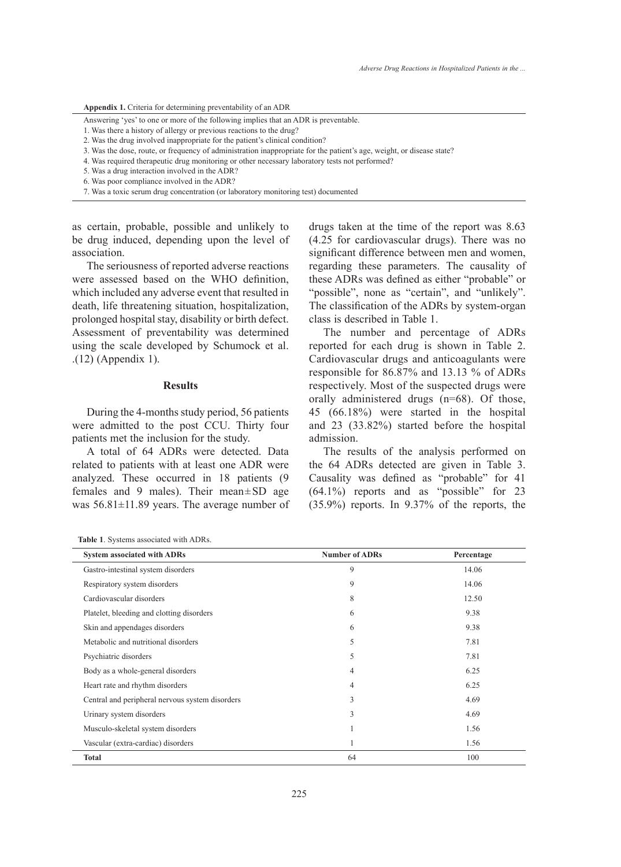**Appendix 1.** Criteria for determining preventability of an ADR

Answering 'yes' to one or more of the following implies that an ADR is preventable.

- 1. Was there a history of allergy or previous reactions to the drug?
- 2. Was the drug involved inappropriate for the patient's clinical condition?
- 3. Was the dose, route, or frequency of administration inappropriate for the patient's age, weight, or disease state?
- 4. Was required therapeutic drug monitoring or other necessary laboratory tests not performed?
- 5. Was a drug interaction involved in the ADR?
- 6. Was poor compliance involved in the ADR?
- 7. Was a toxic serum drug concentration (or laboratory monitoring test) documented

as certain, probable, possible and unlikely to be drug induced, depending upon the level of association.

The seriousness of reported adverse reactions were assessed based on the WHO definition, which included any adverse event that resulted in death, life threatening situation, hospitalization, prolonged hospital stay, disability or birth defect. Assessment of preventability was determined using the scale developed by Schumock et al. .(12) (Appendix 1).

### **Results**

During the 4-months study period, 56 patients were admitted to the post CCU. Thirty four patients met the inclusion for the study.

A total of 64 ADRs were detected. Data related to patients with at least one ADR were analyzed. These occurred in 18 patients (9 females and 9 males). Their mean±SD age was 56.81±11.89 years. The average number of drugs taken at the time of the report was 8.63 (4.25 for cardiovascular drugs). There was no significant difference between men and women, regarding these parameters. The causality of these ADRs was defined as either "probable" or "possible", none as "certain", and "unlikely". The classification of the ADRs by system-organ class is described in Table 1.

The number and percentage of ADRs reported for each drug is shown in Table 2. Cardiovascular drugs and anticoagulants were responsible for 86.87% and 13.13 % of ADRs respectively. Most of the suspected drugs were orally administered drugs (n=68). Of those, 45 (66.18%) were started in the hospital and 23 (33.82%) started before the hospital admission.

The results of the analysis performed on the 64 ADRs detected are given in Table 3. Causality was defined as "probable" for 41 (64.1%) reports and as "possible" for 23 (35.9%) reports. In 9.37% of the reports, the

| <b>System associated with ADRs</b>              | <b>Number of ADRs</b> | Percentage |
|-------------------------------------------------|-----------------------|------------|
| Gastro-intestinal system disorders              | 9                     | 14.06      |
| Respiratory system disorders                    | 9                     | 14.06      |
| Cardiovascular disorders                        | 8                     | 12.50      |
| Platelet, bleeding and clotting disorders       | 6                     | 9.38       |
| Skin and appendages disorders                   | 6                     | 9.38       |
| Metabolic and nutritional disorders             | 5                     | 7.81       |
| Psychiatric disorders                           | 5                     | 7.81       |
| Body as a whole-general disorders               | 4                     | 6.25       |
| Heart rate and rhythm disorders                 | 4                     | 6.25       |
| Central and peripheral nervous system disorders | 3                     | 4.69       |
| Urinary system disorders                        | 3                     | 4.69       |
| Musculo-skeletal system disorders               |                       | 1.56       |
| Vascular (extra-cardiac) disorders              |                       | 1.56       |
| <b>Total</b>                                    | 64                    | 100        |

**Table 1**. Systems associated with ADRs.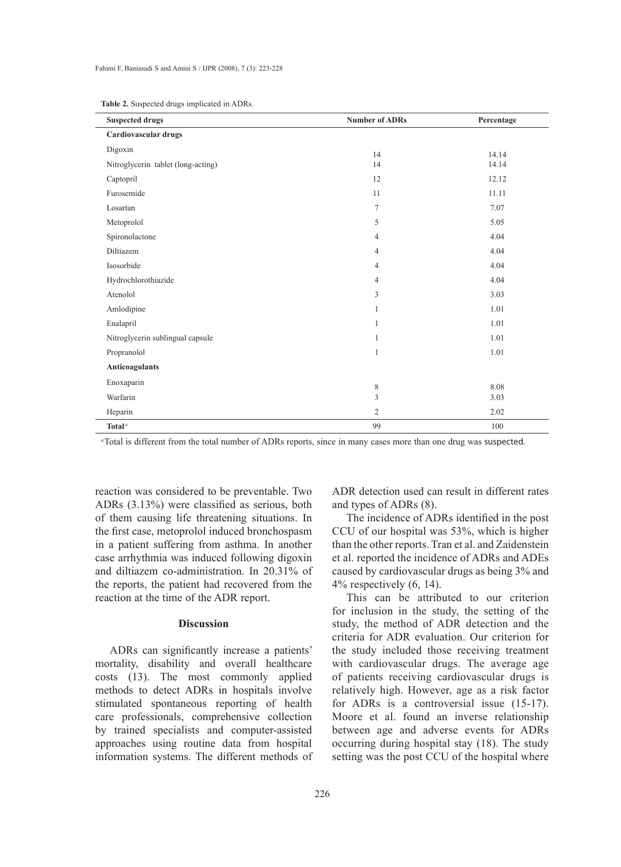| <b>Suspected drugs</b>             | <b>Number of ADRs</b> | Percentage |
|------------------------------------|-----------------------|------------|
| Cardiovascular drugs               |                       |            |
| Digoxin                            | 14                    | 14.14      |
| Nitroglycerin tablet (long-acting) | 14                    | 14.14      |
| Captopril                          | 12                    | 12.12      |
| Furosemide                         | 11                    | 11.11      |
| Losartan                           | $\tau$                | 7.07       |
| Metoprolol                         | 5                     | 5.05       |
| Spironolactone                     | $\overline{4}$        | 4.04       |
| Diltiazem                          | $\overline{4}$        | 4.04       |
| Isosorbide                         | $\overline{4}$        | 4.04       |
| Hydrochlorothiazide                | $\overline{4}$        | 4.04       |
| Atenolol                           | 3                     | 3.03       |
| Amlodipine                         | $\mathbf{1}$          | 1.01       |
| Enalapril                          | $\mathbf{1}$          | 1.01       |
| Nitroglycerin sublingual capsule   | 1                     | 1.01       |
| Propranolol                        | $\mathbf{1}$          | 1.01       |
| Anticoagulants                     |                       |            |
| Enoxaparin                         | $\,$ 8 $\,$           | 8.08       |
| Warfarin                           | 3                     | 3.03       |
| Heparin                            | $\mathfrak{2}$        | 2.02       |
| Total <sup><math>a</math></sup>    | 99                    | 100        |

**Table 2.** Suspected drugs implicated in ADRs.

*<sup>a</sup>*Total is different from the total number of ADRs reports, since in many cases more than one drug was suspected.

reaction was considered to be preventable. Two ADRs (3.13%) were classified as serious, both of them causing life threatening situations. In the first case, metoprolol induced bronchospasm in a patient suffering from asthma. In another case arrhythmia was induced following digoxin and diltiazem co-administration. In 20.31% of the reports, the patient had recovered from the reaction at the time of the ADR report.

# **Discussion**

ADRs can significantly increase a patients' mortality, disability and overall healthcare costs (13). The most commonly applied methods to detect ADRs in hospitals involve stimulated spontaneous reporting of health care professionals, comprehensive collection by trained specialists and computer-assisted approaches using routine data from hospital information systems. The different methods of ADR detection used can result in different rates and types of ADRs (8).

The incidence of ADRs identified in the post CCU of our hospital was 53%, which is higher than the other reports. Tran et al. and Zaidenstein et al. reported the incidence of ADRs and ADEs caused by cardiovascular drugs as being 3% and  $4\%$  respectively  $(6, 14)$ .

This can be attributed to our criterion for inclusion in the study, the setting of the study, the method of ADR detection and the criteria for ADR evaluation. Our criterion for the study included those receiving treatment with cardiovascular drugs. The average age of patients receiving cardiovascular drugs is relatively high. However, age as a risk factor for ADRs is a controversial issue (15-17). Moore et al. found an inverse relationship between age and adverse events for ADRs occurring during hospital stay (18). The study setting was the post CCU of the hospital where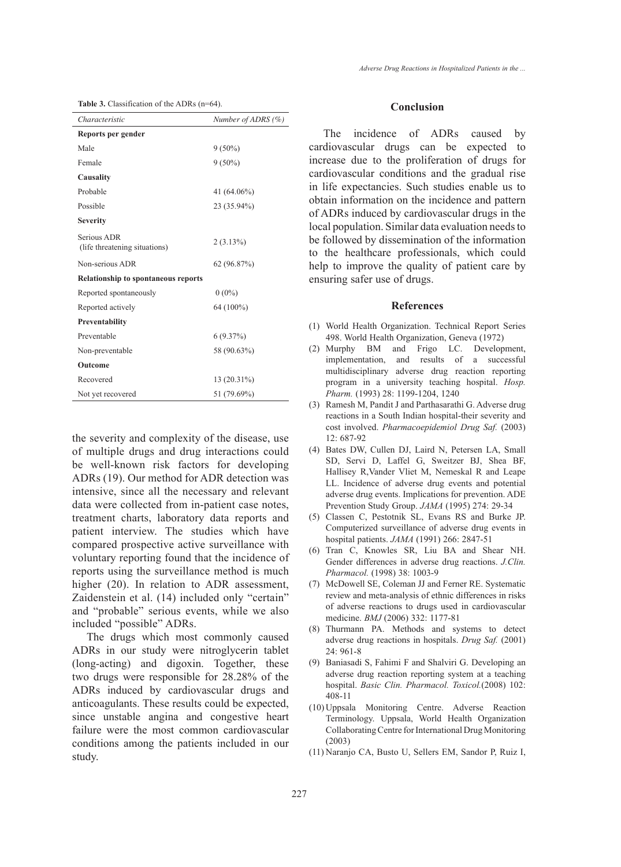|  | <b>Table 3.</b> Classification of the ADRs $(n=64)$ . |  |  |
|--|-------------------------------------------------------|--|--|
|--|-------------------------------------------------------|--|--|

| Characteristic                               | Number of ADRS $(\%)$ |  |  |
|----------------------------------------------|-----------------------|--|--|
| Reports per gender                           |                       |  |  |
| Male                                         | $9(50\%)$             |  |  |
| Female                                       | $9(50\%)$             |  |  |
| Causality                                    |                       |  |  |
| Probable                                     | 41 (64.06%)           |  |  |
| Possible                                     | 23 (35.94%)           |  |  |
| <b>Severity</b>                              |                       |  |  |
| Serious ADR<br>(life threatening situations) | 2(3.13%)              |  |  |
| Non-serious ADR                              | 62(96.87%)            |  |  |
| <b>Relationship to spontaneous reports</b>   |                       |  |  |
| Reported spontaneously                       | $0(0\%)$              |  |  |
| Reported actively                            | 64 (100%)             |  |  |
| Preventability                               |                       |  |  |
| Preventable                                  | 6(9.37%)              |  |  |
| Non-preventable                              | 58 (90.63%)           |  |  |
| Outcome                                      |                       |  |  |
| Recovered                                    | 13 (20.31%)           |  |  |
| Not yet recovered                            | 51 (79.69%)           |  |  |

the severity and complexity of the disease, use of multiple drugs and drug interactions could be well-known risk factors for developing ADRs (19). Our method for ADR detection was intensive, since all the necessary and relevant data were collected from in-patient case notes, treatment charts, laboratory data reports and patient interview. The studies which have compared prospective active surveillance with voluntary reporting found that the incidence of reports using the surveillance method is much higher (20). In relation to ADR assessment, Zaidenstein et al. (14) included only "certain" and "probable" serious events, while we also included "possible" ADRs.

The drugs which most commonly caused ADRs in our study were nitroglycerin tablet (long-acting) and digoxin. Together, these two drugs were responsible for 28.28% of the ADRs induced by cardiovascular drugs and anticoagulants. These results could be expected, since unstable angina and congestive heart failure were the most common cardiovascular conditions among the patients included in our study.

#### **Conclusion**

The incidence of ADRs caused by cardiovascular drugs can be expected to increase due to the proliferation of drugs for cardiovascular conditions and the gradual rise in life expectancies. Such studies enable us to obtain information on the incidence and pattern of ADRs induced by cardiovascular drugs in the local population. Similar data evaluation needs to be followed by dissemination of the information to the healthcare professionals, which could help to improve the quality of patient care by ensuring safer use of drugs.

#### **References**

- World Health Organization. Technical Report Series (1) 498. World Health Organization, Geneva (1972)
- (2) Murphy BM and Frigo LC. Development, implementation, and results of a successful multidisciplinary adverse drug reaction reporting program in a university teaching hospital. *Hosp. Pharm.* (1993) 28: 1199-1204, 1240
- Ramesh M, Pandit J and Parthasarathi G. Adverse drug (3) reactions in a South Indian hospital-their severity and cost involved. *Pharmacoepidemiol Drug Saf.* (2003) 12: 687-92
- Bates DW, Cullen DJ, Laird N, Petersen LA, Small (4) SD, Servi D, Laffel G, Sweitzer BJ, Shea BF, Hallisey R,Vander Vliet M, Nemeskal R and Leape LL. Incidence of adverse drug events and potential adverse drug events. Implications for prevention. ADE Prevention Study Group. *JAMA* (1995) 274: 29-34
- Classen C, Pestotnik SL, Evans RS and Burke JP. (5) Computerized surveillance of adverse drug events in hospital patients. *JAMA* (1991) 266: 2847-51
- (6) Tran C, Knowles SR, Liu BA and Shear NH. Gender differences in adverse drug reactions. *J.Clin. Pharmacol.* (1998) 38: 1003-9
- McDowell SE, Coleman JJ and Ferner RE. Systematic (7) review and meta-analysis of ethnic differences in risks of adverse reactions to drugs used in cardiovascular medicine. *BMJ* (2006) 332: 1177-81
- (8) Thurmann PA. Methods and systems to detect adverse drug reactions in hospitals. *Drug Saf.* (2001) 24: 961-8
- Baniasadi S, Fahimi F and Shalviri G. Developing an (9) adverse drug reaction reporting system at a teaching hospital. *Basic Clin. Pharmacol. Toxicol.*(2008) 102: 408-11
- (10) Uppsala Monitoring Centre. Adverse Reaction Terminology. Uppsala, World Health Organization Collaborating Centre for International Drug Monitoring (2003)
- (11) Naranjo CA, Busto U, Sellers EM, Sandor P, Ruiz I,